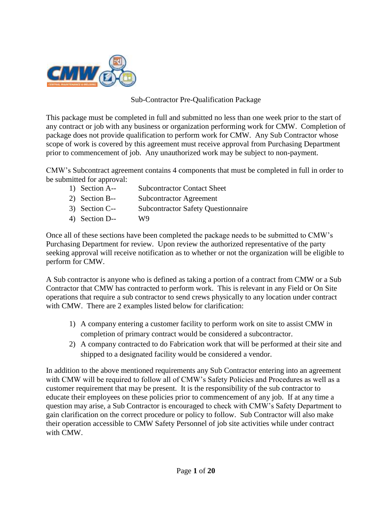

### Sub-Contractor Pre-Qualification Package

This package must be completed in full and submitted no less than one week prior to the start of any contract or job with any business or organization performing work for CMW. Completion of package does not provide qualification to perform work for CMW. Any Sub Contractor whose scope of work is covered by this agreement must receive approval from Purchasing Department prior to commencement of job. Any unauthorized work may be subject to non-payment.

CMW's Subcontract agreement contains 4 components that must be completed in full in order to be submitted for approval:

- 1) Section A-- Subcontractor Contact Sheet
- 2) Section B-- Subcontractor Agreement
- 3) Section C-- Subcontractor Safety Questionnaire
- 4) Section D-- W9

Once all of these sections have been completed the package needs to be submitted to CMW's Purchasing Department for review. Upon review the authorized representative of the party seeking approval will receive notification as to whether or not the organization will be eligible to perform for CMW.

A Sub contractor is anyone who is defined as taking a portion of a contract from CMW or a Sub Contractor that CMW has contracted to perform work. This is relevant in any Field or On Site operations that require a sub contractor to send crews physically to any location under contract with CMW. There are 2 examples listed below for clarification:

- 1) A company entering a customer facility to perform work on site to assist CMW in completion of primary contract would be considered a subcontractor.
- 2) A company contracted to do Fabrication work that will be performed at their site and shipped to a designated facility would be considered a vendor.

In addition to the above mentioned requirements any Sub Contractor entering into an agreement with CMW will be required to follow all of CMW's Safety Policies and Procedures as well as a customer requirement that may be present. It is the responsibility of the sub contractor to educate their employees on these policies prior to commencement of any job. If at any time a question may arise, a Sub Contractor is encouraged to check with CMW's Safety Department to gain clarification on the correct procedure or policy to follow. Sub Contractor will also make their operation accessible to CMW Safety Personnel of job site activities while under contract with CMW.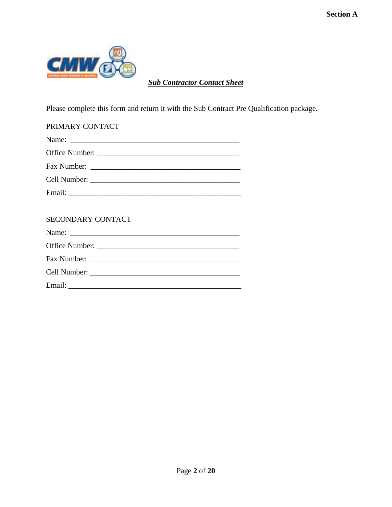

*Sub Contractor Contact Sheet*

Please complete this form and return it with the Sub Contract Pre Qualification package.

| PRIMARY CONTACT   |
|-------------------|
|                   |
|                   |
|                   |
|                   |
|                   |
|                   |
| SECONDARY CONTACT |
|                   |
|                   |
|                   |
|                   |
|                   |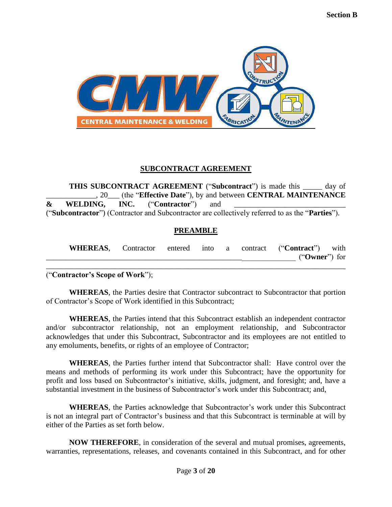

### **SUBCONTRACT AGREEMENT**

**THIS SUBCONTRACT AGREEMENT** ("**Subcontract**") is made this \_\_\_\_\_ day of \_\_\_\_\_\_\_\_\_\_\_\_\_, 20\_\_\_ (the "**Effective Date**"), by and between **CENTRAL MAINTENANCE**   $\&$  WELDING, INC. ("Contractor") and ("**Subcontractor**") (Contractor and Subcontractor are collectively referred to as the "**Parties**").

### **PREAMBLE**

| <b>WHEREAS,</b> |  |  | Contractor entered into a contract ("Contract") with |
|-----------------|--|--|------------------------------------------------------|
|                 |  |  | ("Owner") for                                        |
|                 |  |  |                                                      |

("**Contractor's Scope of Work**");

**WHEREAS**, the Parties desire that Contractor subcontract to Subcontractor that portion of Contractor's Scope of Work identified in this Subcontract;

**WHEREAS**, the Parties intend that this Subcontract establish an independent contractor and/or subcontractor relationship, not an employment relationship, and Subcontractor acknowledges that under this Subcontract, Subcontractor and its employees are not entitled to any emoluments, benefits, or rights of an employee of Contractor;

**WHEREAS**, the Parties further intend that Subcontractor shall: Have control over the means and methods of performing its work under this Subcontract; have the opportunity for profit and loss based on Subcontractor's initiative, skills, judgment, and foresight; and, have a substantial investment in the business of Subcontractor's work under this Subcontract; and,

**WHEREAS**, the Parties acknowledge that Subcontractor's work under this Subcontract is not an integral part of Contractor's business and that this Subcontract is terminable at will by either of the Parties as set forth below.

**NOW THEREFORE**, in consideration of the several and mutual promises, agreements, warranties, representations, releases, and covenants contained in this Subcontract, and for other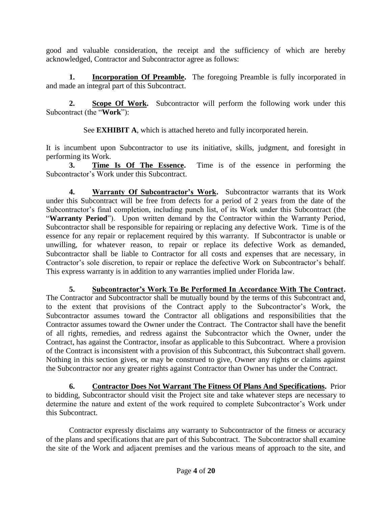good and valuable consideration, the receipt and the sufficiency of which are hereby acknowledged, Contractor and Subcontractor agree as follows:

**1. Incorporation Of Preamble.** The foregoing Preamble is fully incorporated in and made an integral part of this Subcontract.

**2. Scope Of Work.** Subcontractor will perform the following work under this Subcontract (the "**Work**"):

See **EXHIBIT A**, which is attached hereto and fully incorporated herein.

It is incumbent upon Subcontractor to use its initiative, skills, judgment, and foresight in performing its Work.

**3. Time Is Of The Essence.** Time is of the essence in performing the Subcontractor's Work under this Subcontract.

**4. Warranty Of Subcontractor's Work.** Subcontractor warrants that its Work under this Subcontract will be free from defects for a period of 2 years from the date of the Subcontractor's final completion, including punch list, of its Work under this Subcontract (the "Warranty Period"). Upon written demand by the Contractor within the Warranty Period, Subcontractor shall be responsible for repairing or replacing any defective Work. Time is of the essence for any repair or replacement required by this warranty. If Subcontractor is unable or unwilling, for whatever reason, to repair or replace its defective Work as demanded, Subcontractor shall be liable to Contractor for all costs and expenses that are necessary, in Contractor's sole discretion, to repair or replace the defective Work on Subcontractor's behalf. This express warranty is in addition to any warranties implied under Florida law.

**5. Subcontractor's Work To Be Performed In Accordance With The Contract.** The Contractor and Subcontractor shall be mutually bound by the terms of this Subcontract and, to the extent that provisions of the Contract apply to the Subcontractor's Work, the Subcontractor assumes toward the Contractor all obligations and responsibilities that the Contractor assumes toward the Owner under the Contract. The Contractor shall have the benefit of all rights, remedies, and redress against the Subcontractor which the Owner, under the Contract, has against the Contractor, insofar as applicable to this Subcontract. Where a provision of the Contract is inconsistent with a provision of this Subcontract, this Subcontract shall govern. Nothing in this section gives, or may be construed to give, Owner any rights or claims against the Subcontractor nor any greater rights against Contractor than Owner has under the Contract.

**6. Contractor Does Not Warrant The Fitness Of Plans And Specifications.** Prior to bidding, Subcontractor should visit the Project site and take whatever steps are necessary to determine the nature and extent of the work required to complete Subcontractor's Work under this Subcontract.

Contractor expressly disclaims any warranty to Subcontractor of the fitness or accuracy of the plans and specifications that are part of this Subcontract. The Subcontractor shall examine the site of the Work and adjacent premises and the various means of approach to the site, and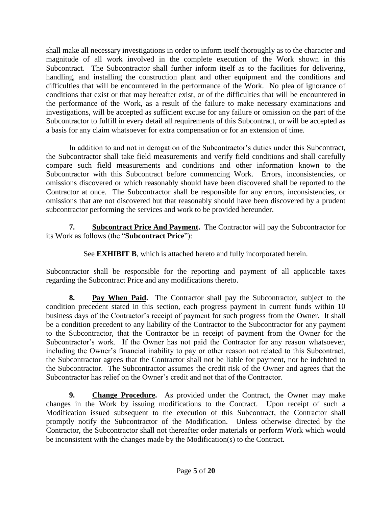shall make all necessary investigations in order to inform itself thoroughly as to the character and magnitude of all work involved in the complete execution of the Work shown in this Subcontract. The Subcontractor shall further inform itself as to the facilities for delivering, handling, and installing the construction plant and other equipment and the conditions and difficulties that will be encountered in the performance of the Work. No plea of ignorance of conditions that exist or that may hereafter exist, or of the difficulties that will be encountered in the performance of the Work, as a result of the failure to make necessary examinations and investigations, will be accepted as sufficient excuse for any failure or omission on the part of the Subcontractor to fulfill in every detail all requirements of this Subcontract, or will be accepted as a basis for any claim whatsoever for extra compensation or for an extension of time.

In addition to and not in derogation of the Subcontractor's duties under this Subcontract, the Subcontractor shall take field measurements and verify field conditions and shall carefully compare such field measurements and conditions and other information known to the Subcontractor with this Subcontract before commencing Work. Errors, inconsistencies, or omissions discovered or which reasonably should have been discovered shall be reported to the Contractor at once. The Subcontractor shall be responsible for any errors, inconsistencies, or omissions that are not discovered but that reasonably should have been discovered by a prudent subcontractor performing the services and work to be provided hereunder.

**7. Subcontract Price And Payment.** The Contractor will pay the Subcontractor for its Work as follows (the "**Subcontract Price**"):

See **EXHIBIT B**, which is attached hereto and fully incorporated herein.

Subcontractor shall be responsible for the reporting and payment of all applicable taxes regarding the Subcontract Price and any modifications thereto.

**8. Pay When Paid.** The Contractor shall pay the Subcontractor, subject to the condition precedent stated in this section, each progress payment in current funds within 10 business days of the Contractor's receipt of payment for such progress from the Owner. It shall be a condition precedent to any liability of the Contractor to the Subcontractor for any payment to the Subcontractor, that the Contractor be in receipt of payment from the Owner for the Subcontractor's work. If the Owner has not paid the Contractor for any reason whatsoever, including the Owner's financial inability to pay or other reason not related to this Subcontract, the Subcontractor agrees that the Contractor shall not be liable for payment, nor be indebted to the Subcontractor. The Subcontractor assumes the credit risk of the Owner and agrees that the Subcontractor has relief on the Owner's credit and not that of the Contractor.

**9. Change Procedure.** As provided under the Contract, the Owner may make changes in the Work by issuing modifications to the Contract. Upon receipt of such a Modification issued subsequent to the execution of this Subcontract, the Contractor shall promptly notify the Subcontractor of the Modification. Unless otherwise directed by the Contractor, the Subcontractor shall not thereafter order materials or perform Work which would be inconsistent with the changes made by the Modification(s) to the Contract.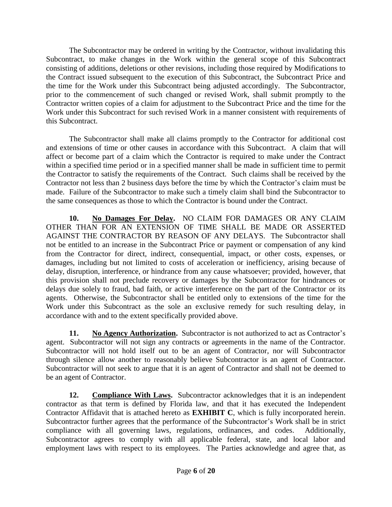The Subcontractor may be ordered in writing by the Contractor, without invalidating this Subcontract, to make changes in the Work within the general scope of this Subcontract consisting of additions, deletions or other revisions, including those required by Modifications to the Contract issued subsequent to the execution of this Subcontract, the Subcontract Price and the time for the Work under this Subcontract being adjusted accordingly. The Subcontractor, prior to the commencement of such changed or revised Work, shall submit promptly to the Contractor written copies of a claim for adjustment to the Subcontract Price and the time for the Work under this Subcontract for such revised Work in a manner consistent with requirements of this Subcontract.

The Subcontractor shall make all claims promptly to the Contractor for additional cost and extensions of time or other causes in accordance with this Subcontract. A claim that will affect or become part of a claim which the Contractor is required to make under the Contract within a specified time period or in a specified manner shall be made in sufficient time to permit the Contractor to satisfy the requirements of the Contract. Such claims shall be received by the Contractor not less than 2 business days before the time by which the Contractor's claim must be made. Failure of the Subcontractor to make such a timely claim shall bind the Subcontractor to the same consequences as those to which the Contractor is bound under the Contract.

**10. No Damages For Delay.** NO CLAIM FOR DAMAGES OR ANY CLAIM OTHER THAN FOR AN EXTENSION OF TIME SHALL BE MADE OR ASSERTED AGAINST THE CONTRACTOR BY REASON OF ANY DELAYS. The Subcontractor shall not be entitled to an increase in the Subcontract Price or payment or compensation of any kind from the Contractor for direct, indirect, consequential, impact, or other costs, expenses, or damages, including but not limited to costs of acceleration or inefficiency, arising because of delay, disruption, interference, or hindrance from any cause whatsoever; provided, however, that this provision shall not preclude recovery or damages by the Subcontractor for hindrances or delays due solely to fraud, bad faith, or active interference on the part of the Contractor or its agents. Otherwise, the Subcontractor shall be entitled only to extensions of the time for the Work under this Subcontract as the sole an exclusive remedy for such resulting delay, in accordance with and to the extent specifically provided above.

**11. No Agency Authorization.** Subcontractor is not authorized to act as Contractor's agent. Subcontractor will not sign any contracts or agreements in the name of the Contractor. Subcontractor will not hold itself out to be an agent of Contractor, nor will Subcontractor through silence allow another to reasonably believe Subcontractor is an agent of Contractor. Subcontractor will not seek to argue that it is an agent of Contractor and shall not be deemed to be an agent of Contractor.

**12. Compliance With Laws.** Subcontractor acknowledges that it is an independent contractor as that term is defined by Florida law, and that it has executed the Independent Contractor Affidavit that is attached hereto as **EXHIBIT C**, which is fully incorporated herein. Subcontractor further agrees that the performance of the Subcontractor's Work shall be in strict compliance with all governing laws, regulations, ordinances, and codes. Additionally, Subcontractor agrees to comply with all applicable federal, state, and local labor and employment laws with respect to its employees. The Parties acknowledge and agree that, as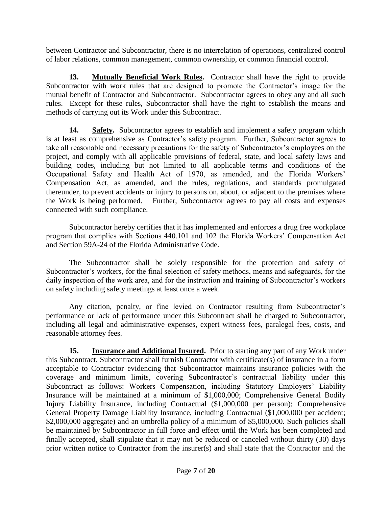between Contractor and Subcontractor, there is no interrelation of operations, centralized control of labor relations, common management, common ownership, or common financial control.

**13. Mutually Beneficial Work Rules.** Contractor shall have the right to provide Subcontractor with work rules that are designed to promote the Contractor's image for the mutual benefit of Contractor and Subcontractor. Subcontractor agrees to obey any and all such rules. Except for these rules, Subcontractor shall have the right to establish the means and methods of carrying out its Work under this Subcontract.

**14. Safety.** Subcontractor agrees to establish and implement a safety program which is at least as comprehensive as Contractor's safety program. Further, Subcontractor agrees to take all reasonable and necessary precautions for the safety of Subcontractor's employees on the project, and comply with all applicable provisions of federal, state, and local safety laws and building codes, including but not limited to all applicable terms and conditions of the Occupational Safety and Health Act of 1970, as amended, and the Florida Workers' Compensation Act, as amended, and the rules, regulations, and standards promulgated thereunder, to prevent accidents or injury to persons on, about, or adjacent to the premises where the Work is being performed. Further, Subcontractor agrees to pay all costs and expenses connected with such compliance.

Subcontractor hereby certifies that it has implemented and enforces a drug free workplace program that complies with Sections 440.101 and 102 the Florida Workers' Compensation Act and Section 59A-24 of the Florida Administrative Code.

The Subcontractor shall be solely responsible for the protection and safety of Subcontractor's workers, for the final selection of safety methods, means and safeguards, for the daily inspection of the work area, and for the instruction and training of Subcontractor's workers on safety including safety meetings at least once a week.

Any citation, penalty, or fine levied on Contractor resulting from Subcontractor's performance or lack of performance under this Subcontract shall be charged to Subcontractor, including all legal and administrative expenses, expert witness fees, paralegal fees, costs, and reasonable attorney fees.

**15. Insurance and Additional Insured.** Prior to starting any part of any Work under this Subcontract, Subcontractor shall furnish Contractor with certificate(s) of insurance in a form acceptable to Contractor evidencing that Subcontractor maintains insurance policies with the coverage and minimum limits, covering Subcontractor's contractual liability under this Subcontract as follows: Workers Compensation, including Statutory Employers' Liability Insurance will be maintained at a minimum of \$1,000,000; Comprehensive General Bodily Injury Liability Insurance, including Contractual (\$1,000,000 per person); Comprehensive General Property Damage Liability Insurance, including Contractual (\$1,000,000 per accident; \$2,000,000 aggregate) and an umbrella policy of a minimum of \$5,000,000. Such policies shall be maintained by Subcontractor in full force and effect until the Work has been completed and finally accepted, shall stipulate that it may not be reduced or canceled without thirty (30) days prior written notice to Contractor from the insurer(s) and shall state that the Contractor and the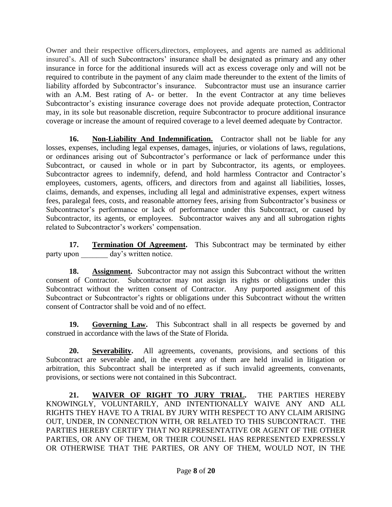Owner and their respective officers,directors, employees, and agents are named as additional insured's. All of such Subcontractors' insurance shall be designated as primary and any other insurance in force for the additional insureds will act as excess coverage only and will not be required to contribute in the payment of any claim made thereunder to the extent of the limits of liability afforded by Subcontractor's insurance. Subcontractor must use an insurance carrier with an A.M. Best rating of A- or better. In the event Contractor at any time believes Subcontractor's existing insurance coverage does not provide adequate protection, Contractor may, in its sole but reasonable discretion, require Subcontractor to procure additional insurance coverage or increase the amount of required coverage to a level deemed adequate by Contractor.

**16. Non-Liability And Indemnification.** Contractor shall not be liable for any losses, expenses, including legal expenses, damages, injuries, or violations of laws, regulations, or ordinances arising out of Subcontractor's performance or lack of performance under this Subcontract, or caused in whole or in part by Subcontractor, its agents, or employees. Subcontractor agrees to indemnify, defend, and hold harmless Contractor and Contractor's employees, customers, agents, officers, and directors from and against all liabilities, losses, claims, demands, and expenses, including all legal and administrative expenses, expert witness fees, paralegal fees, costs, and reasonable attorney fees, arising from Subcontractor's business or Subcontractor's performance or lack of performance under this Subcontract, or caused by Subcontractor, its agents, or employees. Subcontractor waives any and all subrogation rights related to Subcontractor's workers' compensation.

**17. Termination Of Agreement.** This Subcontract may be terminated by either party upon day's written notice.

**18. Assignment.** Subcontractor may not assign this Subcontract without the written consent of Contractor. Subcontractor may not assign its rights or obligations under this Subcontract without the written consent of Contractor. Any purported assignment of this Subcontract or Subcontractor's rights or obligations under this Subcontract without the written consent of Contractor shall be void and of no effect.

**19. Governing Law.** This Subcontract shall in all respects be governed by and construed in accordance with the laws of the State of Florida.

**20. Severability.** All agreements, covenants, provisions, and sections of this Subcontract are severable and, in the event any of them are held invalid in litigation or arbitration, this Subcontract shall be interpreted as if such invalid agreements, convenants, provisions, or sections were not contained in this Subcontract.

**21. WAIVER OF RIGHT TO JURY TRIAL.** THE PARTIES HEREBY KNOWINGLY, VOLUNTARILY, AND INTENTIONALLY WAIVE ANY AND ALL RIGHTS THEY HAVE TO A TRIAL BY JURY WITH RESPECT TO ANY CLAIM ARISING OUT, UNDER, IN CONNECTION WITH, OR RELATED TO THIS SUBCONTRACT. THE PARTIES HEREBY CERTIFY THAT NO REPRESENTATIVE OR AGENT OF THE OTHER PARTIES, OR ANY OF THEM, OR THEIR COUNSEL HAS REPRESENTED EXPRESSLY OR OTHERWISE THAT THE PARTIES, OR ANY OF THEM, WOULD NOT, IN THE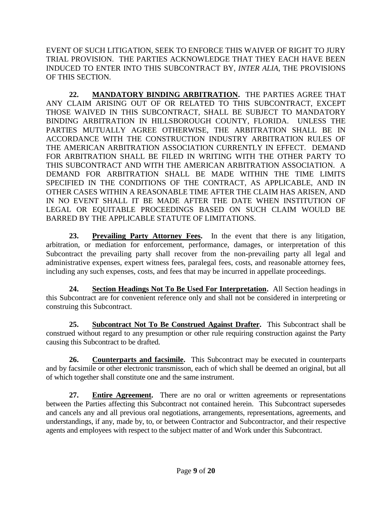EVENT OF SUCH LITIGATION, SEEK TO ENFORCE THIS WAIVER OF RIGHT TO JURY TRIAL PROVISION. THE PARTIES ACKNOWLEDGE THAT THEY EACH HAVE BEEN INDUCED TO ENTER INTO THIS SUBCONTRACT BY, *INTER ALIA*, THE PROVISIONS OF THIS SECTION.

**22. MANDATORY BINDING ARBITRATION.** THE PARTIES AGREE THAT ANY CLAIM ARISING OUT OF OR RELATED TO THIS SUBCONTRACT, EXCEPT THOSE WAIVED IN THIS SUBCONTRACT, SHALL BE SUBJECT TO MANDATORY BINDING ARBITRATION IN HILLSBOROUGH COUNTY, FLORIDA. UNLESS THE PARTIES MUTUALLY AGREE OTHERWISE, THE ARBITRATION SHALL BE IN ACCORDANCE WITH THE CONSTRUCTION INDUSTRY ARBITRATION RULES OF THE AMERICAN ARBITRATION ASSOCIATION CURRENTLY IN EFFECT. DEMAND FOR ARBITRATION SHALL BE FILED IN WRITING WITH THE OTHER PARTY TO THIS SUBCONTRACT AND WITH THE AMERICAN ARBITRATION ASSOCIATION. A DEMAND FOR ARBITRATION SHALL BE MADE WITHIN THE TIME LIMITS SPECIFIED IN THE CONDITIONS OF THE CONTRACT, AS APPLICABLE, AND IN OTHER CASES WITHIN A REASONABLE TIME AFTER THE CLAIM HAS ARISEN, AND IN NO EVENT SHALL IT BE MADE AFTER THE DATE WHEN INSTITUTION OF LEGAL OR EQUITABLE PROCEEDINGS BASED ON SUCH CLAIM WOULD BE BARRED BY THE APPLICABLE STATUTE OF LIMITATIONS.

**23. Prevailing Party Attorney Fees.** In the event that there is any litigation, arbitration, or mediation for enforcement, performance, damages, or interpretation of this Subcontract the prevailing party shall recover from the non-prevailing party all legal and administrative expenses, expert witness fees, paralegal fees, costs, and reasonable attorney fees, including any such expenses, costs, and fees that may be incurred in appellate proceedings.

**24. Section Headings Not To Be Used For Interpretation.** All Section headings in this Subcontract are for convenient reference only and shall not be considered in interpreting or construing this Subcontract.

**25. Subcontract Not To Be Construed Against Drafter.** This Subcontract shall be construed without regard to any presumption or other rule requiring construction against the Party causing this Subcontract to be drafted.

**26. Counterparts and facsimile.** This Subcontract may be executed in counterparts and by facsimile or other electronic transmisson, each of which shall be deemed an original, but all of which together shall constitute one and the same instrument.

**27. Entire Agreement.** There are no oral or written agreements or representations between the Parties affecting this Subcontract not contained herein. This Subcontract supersedes and cancels any and all previous oral negotiations, arrangements, representations, agreements, and understandings, if any, made by, to, or between Contractor and Subcontractor, and their respective agents and employees with respect to the subject matter of and Work under this Subcontract.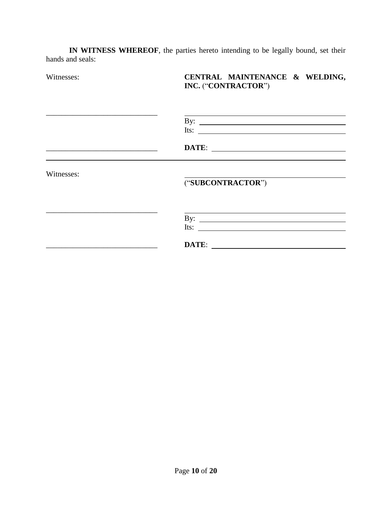**IN WITNESS WHEREOF**, the parties hereto intending to be legally bound, set their hands and seals:

| Witnesses: | CENTRAL MAINTENANCE & WELDING,<br>INC. ("CONTRACTOR") |
|------------|-------------------------------------------------------|
|            | By: $\qquad \qquad$<br>Its: $\qquad \qquad$           |
|            |                                                       |
| Witnesses: | ("SUBCONTRACTOR")                                     |
|            | Its: $\qquad \qquad$                                  |
|            |                                                       |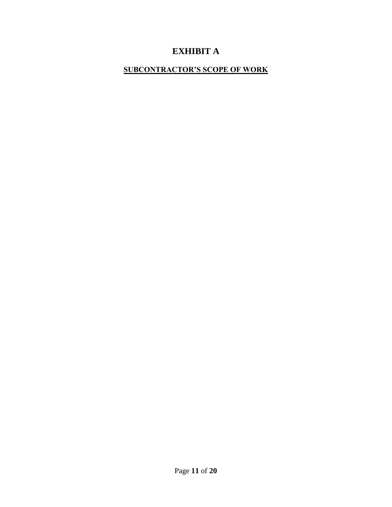# **EXHIBIT A**

## **SUBCONTRACTOR'S SCOPE OF WORK**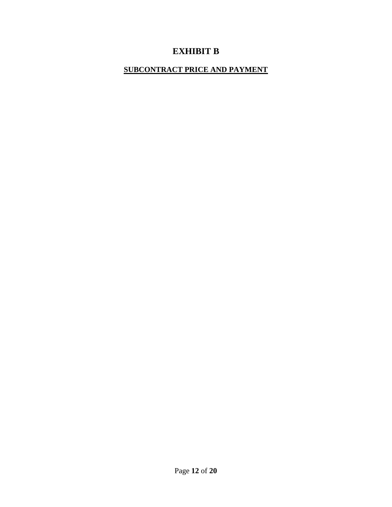# **EXHIBIT B**

### **SUBCONTRACT PRICE AND PAYMENT**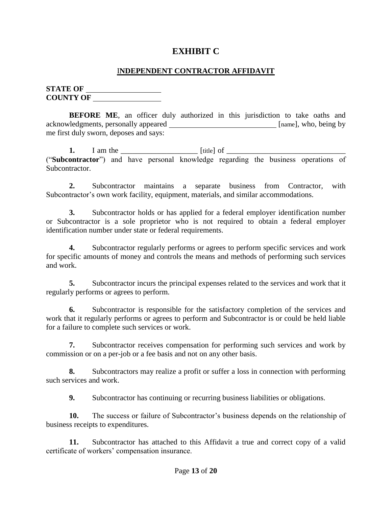### **EXHIBIT C**

### I**NDEPENDENT CONTRACTOR AFFIDAVIT**

**STATE OF**  <u> 1990 - Johann Barbara, politik eta politik eta politik eta politik eta politik eta politik eta politik eta p</u> **COUNTY OF** 

**BEFORE ME**, an officer duly authorized in this jurisdiction to take oaths and acknowledgments, personally appeared *namel* [name], who, being by me first duly sworn, deposes and says:

**1.** I am the \_\_\_\_\_\_\_\_\_\_\_\_\_\_\_\_\_\_\_\_\_\_\_\_ [title] of \_\_\_\_\_\_\_\_\_\_\_\_\_\_\_\_\_\_\_\_\_\_\_\_\_\_\_\_\_\_\_\_ ("**Subcontractor**") and have personal knowledge regarding the business operations of Subcontractor.

**2.** Subcontractor maintains a separate business from Contractor, with Subcontractor's own work facility, equipment, materials, and similar accommodations.

**3.** Subcontractor holds or has applied for a federal employer identification number or Subcontractor is a sole proprietor who is not required to obtain a federal employer identification number under state or federal requirements.

**4.** Subcontractor regularly performs or agrees to perform specific services and work for specific amounts of money and controls the means and methods of performing such services and work.

**5.** Subcontractor incurs the principal expenses related to the services and work that it regularly performs or agrees to perform.

**6.** Subcontractor is responsible for the satisfactory completion of the services and work that it regularly performs or agrees to perform and Subcontractor is or could be held liable for a failure to complete such services or work.

**7.** Subcontractor receives compensation for performing such services and work by commission or on a per-job or a fee basis and not on any other basis.

**8.** Subcontractors may realize a profit or suffer a loss in connection with performing such services and work.

**9.** Subcontractor has continuing or recurring business liabilities or obligations.

**10.** The success or failure of Subcontractor's business depends on the relationship of business receipts to expenditures.

**11.** Subcontractor has attached to this Affidavit a true and correct copy of a valid certificate of workers' compensation insurance.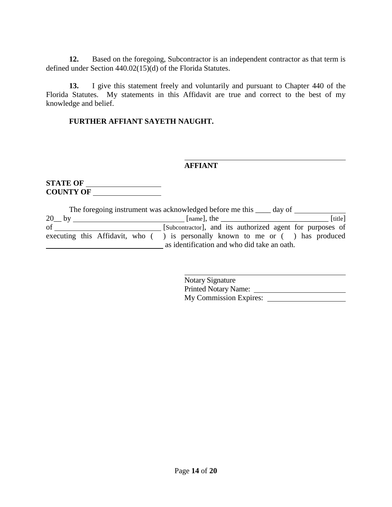**12.** Based on the foregoing, Subcontractor is an independent contractor as that term is defined under Section 440.02(15)(d) of the Florida Statutes.

**13.** I give this statement freely and voluntarily and pursuant to Chapter 440 of the Florida Statutes. My statements in this Affidavit are true and correct to the best of my knowledge and belief.

### **FURTHER AFFIANT SAYETH NAUGHT.**

#### **AFFIANT**

**STATE OF COUNTY OF** 

|         |  |  | The foregoing instrument was acknowledged before me this <u>equal</u> day of        |  |         |
|---------|--|--|-------------------------------------------------------------------------------------|--|---------|
| $20$ by |  |  | $[name]$ , the                                                                      |  | [title] |
| of      |  |  | [Subcontractor], and its authorized agent for purposes of                           |  |         |
|         |  |  | executing this Affidavit, who $($ ) is personally known to me or $($ ) has produced |  |         |
|         |  |  | as identification and who did take an oath.                                         |  |         |

| Notary Signature              |  |
|-------------------------------|--|
| <b>Printed Notary Name:</b>   |  |
| <b>My Commission Expires:</b> |  |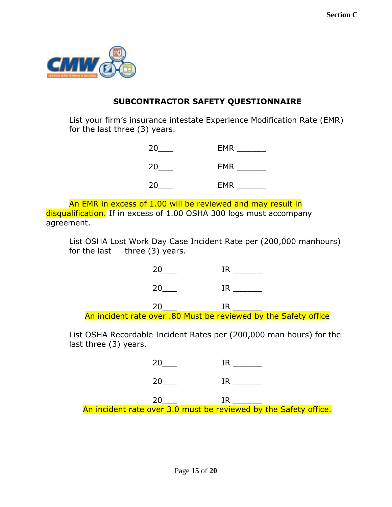

## **SUBCONTRACTOR SAFETY QUESTIONNAIRE**

List your firm's insurance intestate Experience Modification Rate (EMR) for the last three (3) years.

| 20 | <b>EMR</b> |
|----|------------|
| 20 | <b>EMR</b> |
| 20 | <b>EMR</b> |

An EMR in excess of 1.00 will be reviewed and may result in disqualification. If in excess of 1.00 OSHA 300 logs must accompany agreement.

List OSHA Lost Work Day Case Incident Rate per (200,000 manhours) for the last three (3) years.

| An incident rate over .80 Must be reviewed by the Safety office |  |  |
|-----------------------------------------------------------------|--|--|

List OSHA Recordable Incident Rates per (200,000 man hours) for the last three (3) years.

| 20F                                                              |  |
|------------------------------------------------------------------|--|
| An incident rate over 3.0 must be reviewed by the Safety office. |  |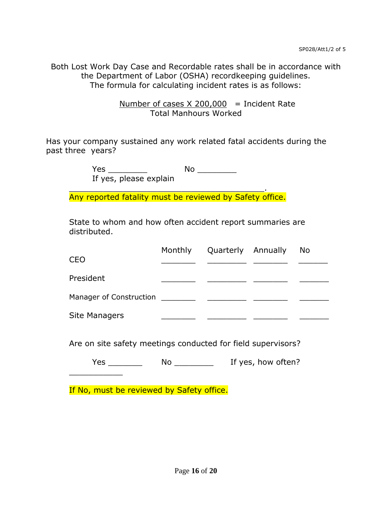Both Lost Work Day Case and Recordable rates shall be in accordance with the Department of Labor (OSHA) recordkeeping guidelines. The formula for calculating incident rates is as follows:

> Number of cases  $X$  200,000 = Incident Rate Total Manhours Worked

Has your company sustained any work related fatal accidents during the past three years?

Yes \_\_\_\_\_\_\_\_ No \_\_\_\_\_\_\_\_

If yes, please explain

\_\_\_\_\_\_\_\_\_\_\_\_\_\_\_\_\_\_\_\_\_\_\_\_\_\_\_\_\_\_\_\_\_\_\_\_\_\_\_\_. Any reported fatality must be reviewed by Safety office.

State to whom and how often accident report summaries are distributed.

| <b>CEO</b>              | Monthly | Quarterly Annually | No. |
|-------------------------|---------|--------------------|-----|
| President               |         |                    |     |
| Manager of Construction |         |                    |     |
| Site Managers           |         |                    |     |

Are on site safety meetings conducted for field supervisors?

Yes No No If yes, how often?

If No, must be reviewed by Safety office.

 $\overline{\phantom{a}}$  , where  $\overline{\phantom{a}}$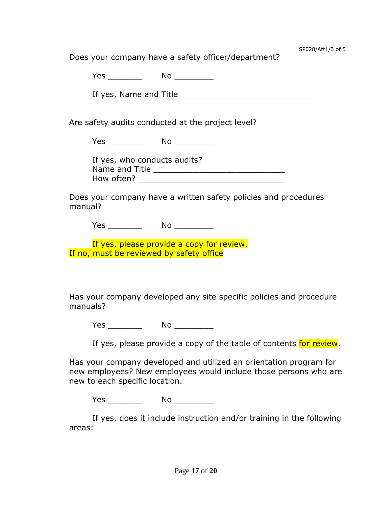Does your company have a safety officer/department?

Yes \_\_\_\_\_\_\_ No \_\_\_\_\_\_\_\_

If yes, Name and Title \_\_\_\_\_\_\_\_\_\_\_\_\_\_\_\_\_\_\_\_\_\_\_\_\_\_\_

Are safety audits conducted at the project level?

Yes \_\_\_\_\_\_\_ No \_\_\_\_\_\_\_\_

If yes, who conducts audits? Name and Title **Example 20** How often? \_\_\_\_\_\_\_\_\_\_\_\_\_\_\_\_\_\_\_\_\_\_\_\_\_\_\_\_\_\_

Does your company have a written safety policies and procedures manual?

Yes \_\_\_\_\_\_\_ No \_\_\_\_\_\_\_\_

If yes, please provide a copy for review. If no, must be reviewed by safety office

Has your company developed any site specific policies and procedure manuals?

Yes \_\_\_\_\_\_\_ No \_\_\_\_\_\_\_\_

If yes, please provide a copy of the table of contents for review.

Has your company developed and utilized an orientation program for new employees? New employees would include those persons who are new to each specific location.

Yes \_\_\_\_\_\_\_ No \_\_\_\_\_\_\_\_

If yes, does it include instruction and/or training in the following areas: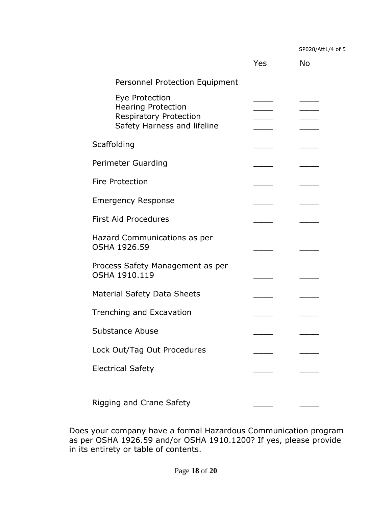SP028/Att1/4 of 5

|                                                                                                             | Yes | No |
|-------------------------------------------------------------------------------------------------------------|-----|----|
| Personnel Protection Equipment                                                                              |     |    |
| Eye Protection<br><b>Hearing Protection</b><br><b>Respiratory Protection</b><br>Safety Harness and lifeline |     |    |
| Scaffolding                                                                                                 |     |    |
| Perimeter Guarding                                                                                          |     |    |
| <b>Fire Protection</b>                                                                                      |     |    |
| <b>Emergency Response</b>                                                                                   |     |    |
| <b>First Aid Procedures</b>                                                                                 |     |    |
| Hazard Communications as per<br>OSHA 1926.59                                                                |     |    |
| Process Safety Management as per<br>OSHA 1910.119                                                           |     |    |
| <b>Material Safety Data Sheets</b>                                                                          |     |    |
| Trenching and Excavation                                                                                    |     |    |
| Substance Abuse                                                                                             |     |    |
| Lock Out/Tag Out Procedures                                                                                 |     |    |
| <b>Electrical Safety</b>                                                                                    |     |    |
| Rigging and Crane Safety                                                                                    |     |    |

Does your company have a formal Hazardous Communication program as per OSHA 1926.59 and/or OSHA 1910.1200? If yes, please provide in its entirety or table of contents.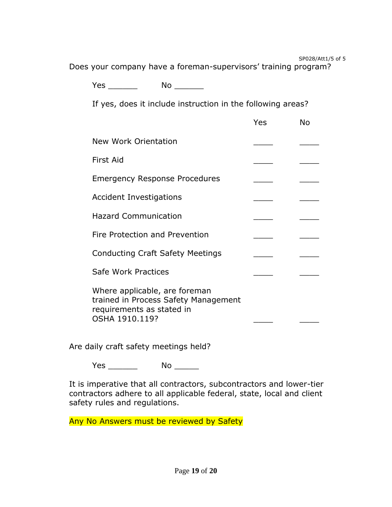SP028/Att1/5 of 5

Does your company have a foreman-supervisors' training program?

Yes No  $\blacksquare$ 

If yes, does it include instruction in the following areas?

|                                                                                                                      | Yes | No |
|----------------------------------------------------------------------------------------------------------------------|-----|----|
| New Work Orientation                                                                                                 |     |    |
| First Aid                                                                                                            |     |    |
| <b>Emergency Response Procedures</b>                                                                                 |     |    |
| Accident Investigations                                                                                              |     |    |
| <b>Hazard Communication</b>                                                                                          |     |    |
| Fire Protection and Prevention                                                                                       |     |    |
| <b>Conducting Craft Safety Meetings</b>                                                                              |     |    |
| Safe Work Practices                                                                                                  |     |    |
| Where applicable, are foreman<br>trained in Process Safety Management<br>requirements as stated in<br>OSHA 1910.119? |     |    |

Are daily craft safety meetings held?

Yes \_\_\_\_\_\_ No \_\_\_\_\_

It is imperative that all contractors, subcontractors and lower-tier contractors adhere to all applicable federal, state, local and client safety rules and regulations.

Any No Answers must be reviewed by Safety